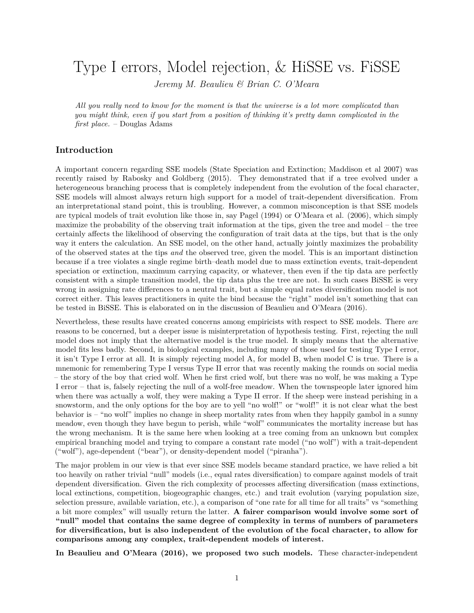<span id="page-0-0"></span>Type I errors, Model rejection, & HiSSE vs. FiSSE

*Jeremy M. Beaulieu & Brian C. O'Meara*

*All you really need to know for the moment is that the universe is a lot more complicated than you might think, even if you start from a position of thinking it's pretty damn complicated in the first place.* – Douglas Adams

## **Introduction**

A important concern regarding SSE models (State Speciation and Extinction; Maddison et al 2007) was recently raised by Rabosky and Goldberg (2015). They demonstrated that if a tree evolved under a heterogeneous branching process that is completely independent from the evolution of the focal character, SSE models will almost always return high support for a model of trait-dependent diversification. From an interpretational stand point, this is troubling. However, a common misconception is that SSE models are typical models of trait evolution like those in, say Pagel (1994) or O'Meara et al. (2006), which simply maximize the probability of the observing trait information at the tips, given the tree and model – the tree certainly affects the likelihood of observing the configuration of trait data at the tips, but that is the only way it enters the calculation. An SSE model, on the other hand, actually jointly maximizes the probability of the observed states at the tips *and* the observed tree, given the model. This is an important distinction because if a tree violates a single regime birth–death model due to mass extinction events, trait-dependent speciation or extinction, maximum carrying capacity, or whatever, then even if the tip data are perfectly consistent with a simple transition model, the tip data plus the tree are not. In such cases BiSSE is very wrong in assigning rate differences to a neutral trait, but a simple equal rates diversification model is not correct either. This leaves practitioners in quite the bind because the "right" model isn't something that can be tested in BiSSE. This is elaborated on in the discussion of Beaulieu and O'Meara (2016).

Nevertheless, these results have created concerns among empiricists with respect to SSE models. There *are* reasons to be concerned, but a deeper issue is misinterpretation of hypothesis testing. First, rejecting the null model does not imply that the alternative model is the true model. It simply means that the alternative model fits less badly. Second, in biological examples, including many of those used for testing Type I error, it isn't Type I error at all. It is simply rejecting model A, for model B, when model C is true. There is a mnemonic for remembering Type I versus Type II error that was recently making the rounds on social media – the story of the boy that cried wolf. When he first cried wolf, but there was no wolf, he was making a Type I error – that is, falsely rejecting the null of a wolf-free meadow. When the townspeople later ignored him when there was actually a wolf, they were making a Type II error. If the sheep were instead perishing in a snowstorm, and the only options for the boy are to yell "no wolf!" or "wolf!" it is not clear what the best behavior is – "no wolf" implies no change in sheep mortality rates from when they happily gambol in a sunny meadow, even though they have begun to perish, while "wolf" communicates the mortality increase but has the wrong mechanism. It is the same here when looking at a tree coming from an unknown but complex empirical branching model and trying to compare a constant rate model ("no wolf") with a trait-dependent ("wolf"), age-dependent ("bear"), or density-dependent model ("piranha").

The major problem in our view is that ever since SSE models became standard practice, we have relied a bit too heavily on rather trivial "null" models (i.e., equal rates diversification) to compare against models of trait dependent diversification. Given the rich complexity of processes affecting diversification (mass extinctions, local extinctions, competition, biogeographic changes, etc.) and trait evolution (varying population size, selection pressure, available variation, etc.), a comparison of "one rate for all time for all traits" vs "something a bit more complex" will usually return the latter. **A fairer comparison would involve some sort of "null" model that contains the same degree of complexity in terms of numbers of parameters for diversification, but is also independent of the evolution of the focal character, to allow for comparisons among any complex, trait-dependent models of interest.**

**In Beaulieu and O'Meara (2016), we proposed two such models.** These character-independent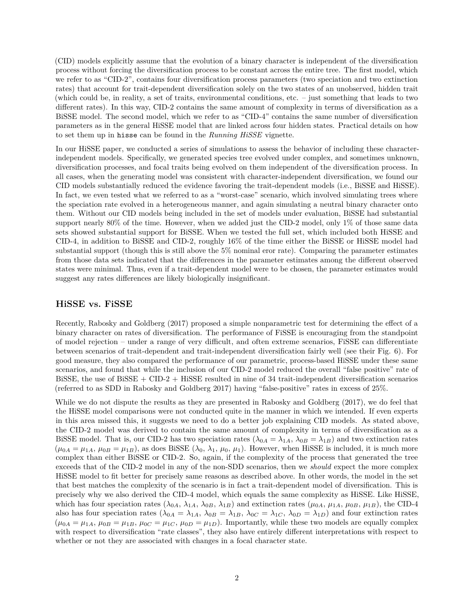(CID) models explicitly assume that the evolution of a binary character is independent of the diversification process without forcing the diversification process to be constant across the entire tree. The first model, which we refer to as "CID-2", contains four diversification process parameters (two speciation and two extinction rates) that account for trait-dependent diversification solely on the two states of an unobserved, hidden trait (which could be, in reality, a set of traits, environmental conditions, etc. – just something that leads to two different rates). In this way, CID-2 contains the same amount of complexity in terms of diversification as a BiSSE model. The second model, which we refer to as "CID-4" contains the same number of diversification parameters as in the general HiSSE model that are linked across four hidden states. Practical details on how to set them up in hisse can be found in the *[Running HiSSE](#page-0-0)* vignette.

In our HiSSE paper, we conducted a series of simulations to assess the behavior of including these characterindependent models. Specifically, we generated species tree evolved under complex, and sometimes unknown, diversification processes, and focal traits being evolved on them independent of the diversification process. In all cases, when the generating model was consistent with character-independent diversification, we found our CID models substantially reduced the evidence favoring the trait-dependent models (i.e., BiSSE and HiSSE). In fact, we even tested what we referred to as a "worst-case" scenario, which involved simulating trees where the speciation rate evolved in a heterogeneous manner, and again simulating a neutral binary character onto them. Without our CID models being included in the set of models under evaluation, BiSSE had substantial support nearly 80% of the time. However, when we added just the CID-2 model, only 1% of those same data sets showed substantial support for BiSSE. When we tested the full set, which included both HiSSE and CID-4, in addition to BiSSE and CID-2, roughly 16% of the time either the BiSSE or HiSSE model had substantial support (though this is still above the 5% nominal eror rate). Comparing the parameter estimates from those data sets indicated that the differences in the parameter estimates among the different observed states were minimal. Thus, even if a trait-dependent model were to be chosen, the parameter estimates would suggest any rates differences are likely biologically insignificant.

## **HiSSE vs. FiSSE**

Recently, Rabosky and Goldberg (2017) proposed a simple nonparametric test for determining the effect of a binary character on rates of diversification. The performance of FiSSE is encouraging from the standpoint of model rejection – under a range of very difficult, and often extreme scenarios, FiSSE can differentiate between scenarios of trait-dependent and trait-independent diversification fairly well (see their Fig. 6). For good measure, they also compared the performance of our parametric, process-based HiSSE under these same scenarios, and found that while the inclusion of our CID-2 model reduced the overall "false positive" rate of BiSSE, the use of BiSSE + CID-2 + HiSSE resulted in nine of 34 trait-independent diversification scenarios (referred to as SDD in Rabosky and Goldberg 2017) having "false-positive" rates in excess of 25%.

While we do not dispute the results as they are presented in Rabosky and Goldberg (2017), we do feel that the HiSSE model comparisons were not conducted quite in the manner in which we intended. If even experts in this area missed this, it suggests we need to do a better job explaining CID models. As stated above, the CID-2 model was derived to contain the same amount of complexity in terms of diversification as a BiSSE model. That is, our CID-2 has two speciation rates  $(\lambda_{0A} = \lambda_{1A}, \lambda_{0B} = \lambda_{1B})$  and two extinction rates  $(\mu_{0A} = \mu_{1A}, \mu_{0B} = \mu_{1B})$ , as does BiSSE  $(\lambda_0, \lambda_1, \mu_0, \mu_1)$ . However, when HiSSE is included, it is much more complex than either BiSSE or CID-2. So, again, if the complexity of the process that generated the tree exceeds that of the CID-2 model in any of the non-SDD scenarios, then we *should* expect the more complex HiSSE model to fit better for precisely same reasons as described above. In other words, the model in the set that best matches the complexity of the scenario is in fact a trait-dependent model of diversification. This is precisely why we also derived the CID-4 model, which equals the same complexity as HiSSE. Like HiSSE, which has four speciation rates  $(\lambda_{0A}, \lambda_{1A}, \lambda_{0B}, \lambda_{1B})$  and extinction rates  $(\mu_{0A}, \mu_{1A}, \mu_{0B}, \mu_{1B})$ , the CID-4 also has four speciation rates  $(\lambda_{0A} = \lambda_{1A}, \lambda_{0B} = \lambda_{1B}, \lambda_{0C} = \lambda_{1C}, \lambda_{0D} = \lambda_{1D})$  and four extinction rates  $(\mu_{0A} = \mu_{1A}, \mu_{0B} = \mu_{1B}, \mu_{0C} = \mu_{1C}, \mu_{0D} = \mu_{1D})$ . Importantly, while these two models are equally complex with respect to diversification "rate classes", they also have entirely different interpretations with respect to whether or not they are associated with changes in a focal character state.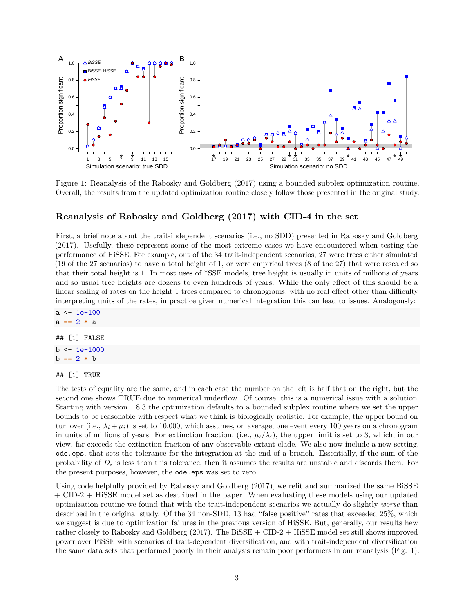

Figure 1: Reanalysis of the Rabosky and Goldberg (2017) using a bounded subplex optimization routine. Overall, the results from the updated optimization routine closely follow those presented in the original study.

# **Reanalysis of Rabosky and Goldberg (2017) with CID-4 in the set**

First, a brief note about the trait-independent scenarios (i.e., no SDD) presented in Rabosky and Goldberg (2017). Usefully, these represent some of the most extreme cases we have encountered when testing the performance of HiSSE. For example, out of the 34 trait-independent scenarios, 27 were trees either simulated (19 of the 27 scenarios) to have a total height of 1, or were empirical trees (8 of the 27) that were rescaled so that their total height is 1. In most uses of \*SSE models, tree height is usually in units of millions of years and so usual tree heights are dozens to even hundreds of years. While the only effect of this should be a linear scaling of rates on the height 1 trees compared to chronograms, with no real effect other than difficulty interpreting units of the rates, in practice given numerical integration this can lead to issues. Analogously:

a <- 1e-100 a **==** 2 **\*** a ## [1] FALSE  $b \leq 1e-1000$ b **==** 2 **\*** b

#### ## [1] TRUE

The tests of equality are the same, and in each case the number on the left is half that on the right, but the second one shows TRUE due to numerical underflow. Of course, this is a numerical issue with a solution. Starting with version 1.8.3 the optimization defaults to a bounded subplex routine where we set the upper bounds to be reasonable with respect what we think is biologically realistic. For example, the upper bound on turnover (i.e.,  $\lambda_i + \mu_i$ ) is set to 10,000, which assumes, on average, one event every 100 years on a chronogram in units of millions of years. For extinction fraction, (i.e.,  $\mu_i/\lambda_i$ ), the upper limit is set to 3, which, in our view, far exceeds the extinction fraction of any observable extant clade. We also now include a new setting, ode.eps, that sets the tolerance for the integration at the end of a branch. Essentially, if the sum of the probability of  $D_i$  is less than this tolerance, then it assumes the results are unstable and discards them. For the present purposes, however, the ode.eps was set to zero.

Using code helpfully provided by Rabosky and Goldberg (2017), we refit and summarized the same BiSSE + CID-2 + HiSSE model set as described in the paper. When evaluating these models using our updated optimization routine we found that with the trait-independent scenarios we actually do slightly *worse* than described in the original study. Of the 34 non-SDD, 13 had "false positive" rates that exceeded 25%, which we suggest is due to optimization failures in the previous version of HiSSE. But, generally, our results hew rather closely to Rabosky and Goldberg (2017). The BiSSE + CID-2 + HiSSE model set still shows improved power over FiSSE with scenarios of trait-dependent diversification, and with trait-independent diversification the same data sets that performed poorly in their analysis remain poor performers in our reanalysis (Fig. 1).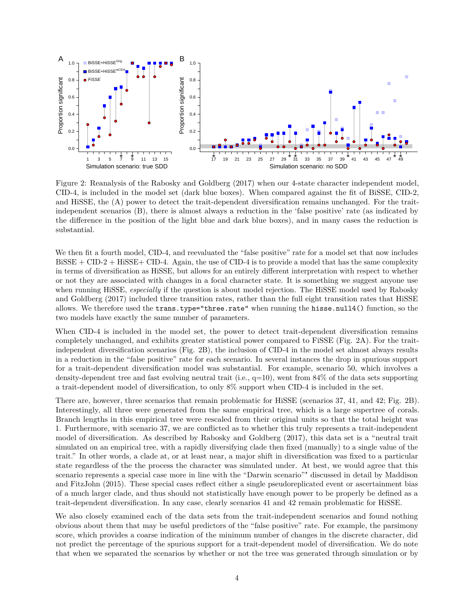

Figure 2: Reanalysis of the Rabosky and Goldberg (2017) when our 4-state character independent model, CID-4, is included in the model set (dark blue boxes). When compared against the fit of BiSSE, CID-2, and HiSSE, the (A) power to detect the trait-dependent diversification remains unchanged. For the traitindependent scenarios (B), there is almost always a reduction in the 'false positive' rate (as indicated by the difference in the position of the light blue and dark blue boxes), and in many cases the reduction is substantial.

We then fit a fourth model, CID-4, and reevaluated the "false positive" rate for a model set that now includes BiSSE + CID-2 + HiSSE+ CID-4. Again, the use of CID-4 is to provide a model that has the same complexity in terms of diversification as HiSSE, but allows for an entirely different interpretation with respect to whether or not they are associated with changes in a focal character state. It is something we suggest anyone use when running HiSSE, *especially* if the question is about model rejection. The HiSSE model used by Rabosky and Goldberg (2017) included three transition rates, rather than the full eight transition rates that HiSSE allows. We therefore used the trans.type="three.rate" when running the hisse.null4() function, so the two models have exactly the same number of parameters.

When CID-4 is included in the model set, the power to detect trait-dependent diversification remains completely unchanged, and exhibits greater statistical power compared to FiSSE (Fig. 2A). For the traitindependent diversification scenarios (Fig. 2B), the inclusion of CID-4 in the model set almost always results in a reduction in the "false positive" rate for each scenario. In several instances the drop in spurious support for a trait-dependent diversification model was substantial. For example, scenario 50, which involves a density-dependent tree and fast evolving neutral trait (i.e.,  $q=10$ ), went from 84% of the data sets supporting a trait-dependent model of diversification, to only 8% support when CID-4 is included in the set.

There are, however, three scenarios that remain problematic for HiSSE (scenarios 37, 41, and 42; Fig. 2B). Interestingly, all three were generated from the same empirical tree, which is a large supertree of corals. Branch lengths in this empirical tree were rescaled from their original units so that the total height was 1. Furthermore, with scenario 37, we are conflicted as to whether this truly represents a trait-independent model of diversification. As described by Rabosky and Goldberg (2017), this data set is a "neutral trait simulated on an empirical tree, with a rapidly diversifying clade then fixed (manually) to a single value of the trait." In other words, a clade at, or at least near, a major shift in diversification was fixed to a particular state regardless of the the process the character was simulated under. At best, we would agree that this scenario represents a special case more in line with the "Darwin scenario"" discussed in detail by Maddison and FitzJohn (2015). These special cases reflect either a single pseudoreplicated event or ascertainment bias of a much larger clade, and thus should not statistically have enough power to be properly be defined as a trait-dependent diversification. In any case, clearly scenarios 41 and 42 remain problematic for HiSSE.

We also closely examined each of the data sets from the trait-independent scenarios and found nothing obvious about them that may be useful predictors of the "false positive" rate. For example, the parsimony score, which provides a coarse indication of the minimum number of changes in the discrete character, did not predict the percentage of the spurious support for a trait-dependent model of diversification. We do note that when we separated the scenarios by whether or not the tree was generated through simulation or by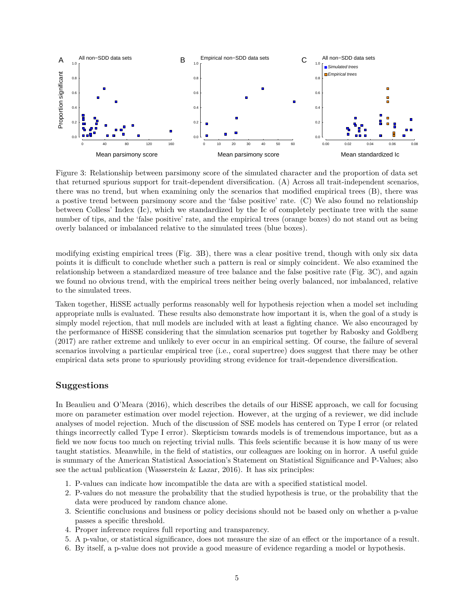

Figure 3: Relationship between parsimony score of the simulated character and the proportion of data set that returned spurious support for trait-dependent diversification. (A) Across all trait-independent scenarios, there was no trend, but when examining only the scenarios that modified empirical trees (B), there was a postive trend between parsimony score and the 'false positive' rate. (C) We also found no relationship between Colless' Index (Ic), which we standardized by the Ic of completely pectinate tree with the same number of tips, and the 'false positive' rate, and the empirical trees (orange boxes) do not stand out as being overly balanced or imbalanced relative to the simulated trees (blue boxes).

modifying existing empirical trees (Fig. 3B), there was a clear positive trend, though with only six data points it is difficult to conclude whether such a pattern is real or simply coincident. We also examined the relationship between a standardized measure of tree balance and the false positive rate (Fig. 3C), and again we found no obvious trend, with the empirical trees neither being overly balanced, nor imbalanced, relative to the simulated trees.

Taken together, HiSSE actually performs reasonably well for hypothesis rejection when a model set including appropriate nulls is evaluated. These results also demonstrate how important it is, when the goal of a study is simply model rejection, that null models are included with at least a fighting chance. We also encouraged by the performance of HiSSE considering that the simulation scenarios put together by Rabosky and Goldberg (2017) are rather extreme and unlikely to ever occur in an empirical setting. Of course, the failure of several scenarios involving a particular empirical tree (i.e., coral supertree) does suggest that there may be other empirical data sets prone to spuriously providing strong evidence for trait-dependence diversification.

### **Suggestions**

In Beaulieu and O'Meara (2016), which describes the details of our HiSSE approach, we call for focusing more on parameter estimation over model rejection. However, at the urging of a reviewer, we did include analyses of model rejection. Much of the discussion of SSE models has centered on Type I error (or related things incorrectly called Type I error). Skepticism towards models is of tremendous importance, but as a field we now focus too much on rejecting trivial nulls. This feels scientific because it is how many of us were taught statistics. Meanwhile, in the field of statistics, our colleagues are looking on in horror. A useful guide is summary of the American Statistical Association's [Statement on Statistical Significance and P-Values;](https://www.amstat.org/asa/files/pdfs/P-ValueStatement.pdf) also see the actual publication (Wasserstein  $\&$  Lazar, 2016). It has six principles:

- 1. P-values can indicate how incompatible the data are with a specified statistical model.
- 2. P-values do not measure the probability that the studied hypothesis is true, or the probability that the data were produced by random chance alone.
- 3. Scientific conclusions and business or policy decisions should not be based only on whether a p-value passes a specific threshold.
- 4. Proper inference requires full reporting and transparency.
- 5. A p-value, or statistical significance, does not measure the size of an effect or the importance of a result.
- 6. By itself, a p-value does not provide a good measure of evidence regarding a model or hypothesis.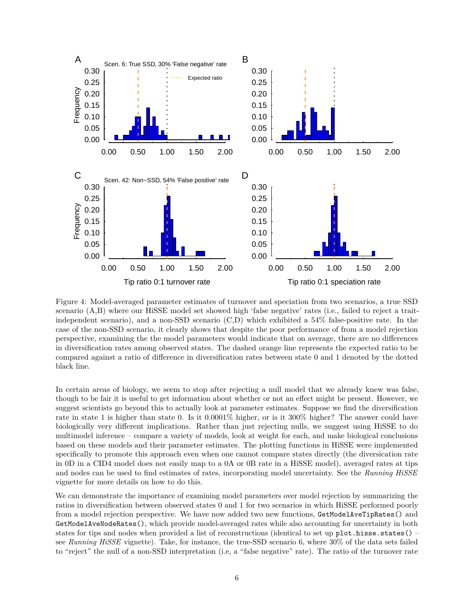

Figure 4: Model-averaged parameter estimates of turnover and speciation from two scenarios, a true SSD scenario (A,B) where our HiSSE model set showed high 'false negative' rates (i.e., failed to reject a traitindependent scenario), and a non-SSD scenario (C,D) which exhibited a 54% false-positive rate. In the case of the non-SSD scenario, it clearly shows that despite the poor performance of from a model rejection perspective, examining the the model parameters would indicate that on average, there are no differences in diversification rates among observed states. The dashed orange line represents the expected ratio to be compared against a ratio of difference in diversification rates between state 0 and 1 denoted by the dotted black line.

In certain areas of biology, we seem to stop after rejecting a null model that we already knew was false, though to be fair it is useful to get information about whether or not an effect might be present. However, we suggest scientists go beyond this to actually look at parameter estimates. Suppose we find the diversification rate in state 1 is higher than state 0. Is it 0.0001% higher, or is it 300% higher? The answer could have biologically very different implications. Rather than just rejecting nulls, we suggest using HiSSE to do multimodel inference – compare a variety of models, look at weight for each, and make biological conclusions based on these models and their parameter estimates. The plotting functions in HiSSE were implemented specifically to promote this approach even when one cannot compare states directly (the diversication rate in 0D in a CID4 model does not easily map to a 0A or 0B rate in a HiSSE model), averaged rates at tips and nodes can be used to find estimates of rates, incorporating model uncertainty. See the *[Running HiSSE](#page-0-0)* vignette for more details on how to do this.

We can demonstrate the importance of examining model parameters over model rejection by summarizing the ratios in diversification between observed states 0 and 1 for two scenarios in which HiSSE performed poorly from a model rejection perspective. We have now added two new functions, GetModelAveTipRates() and GetModelAveNodeRates(), which provide model-averaged rates while also accounting for uncertainty in both states for tips and nodes when provided a list of reconstructions (identical to set up plot.hisse.states() – see *[Running HiSSE](#page-0-0)* vignette). Take, for instance, the true-SSD scenario 6, where 30% of the data sets failed to "reject" the null of a non-SSD interpretation (i.e, a "false negative" rate). The ratio of the turnover rate